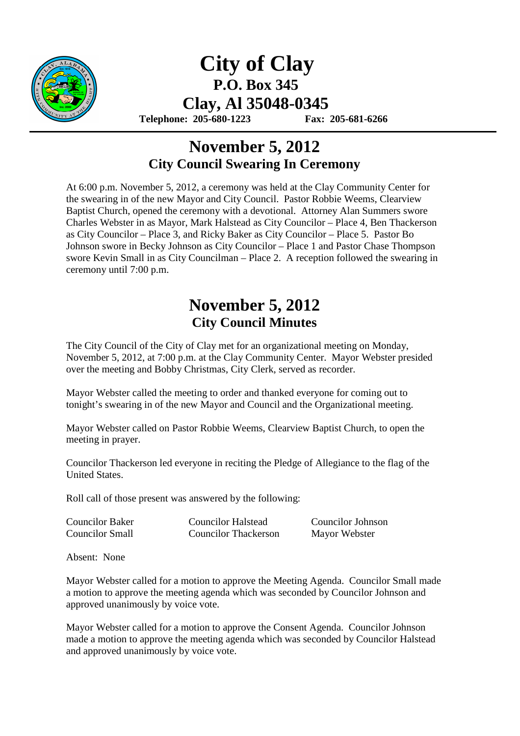

## **City of Clay P.O. Box 345 Clay, Al 35048-0345**

 **Telephone: 205-680-1223 Fax: 205-681-6266** 

## **November 5, 2012 City Council Swearing In Ceremony**

At 6:00 p.m. November 5, 2012, a ceremony was held at the Clay Community Center for the swearing in of the new Mayor and City Council. Pastor Robbie Weems, Clearview Baptist Church, opened the ceremony with a devotional. Attorney Alan Summers swore Charles Webster in as Mayor, Mark Halstead as City Councilor – Place 4, Ben Thackerson as City Councilor – Place 3, and Ricky Baker as City Councilor – Place 5. Pastor Bo Johnson swore in Becky Johnson as City Councilor – Place 1 and Pastor Chase Thompson swore Kevin Small in as City Councilman – Place 2. A reception followed the swearing in ceremony until 7:00 p.m.

## **November 5, 2012 City Council Minutes**

The City Council of the City of Clay met for an organizational meeting on Monday, November 5, 2012, at 7:00 p.m. at the Clay Community Center. Mayor Webster presided over the meeting and Bobby Christmas, City Clerk, served as recorder.

Mayor Webster called the meeting to order and thanked everyone for coming out to tonight's swearing in of the new Mayor and Council and the Organizational meeting.

Mayor Webster called on Pastor Robbie Weems, Clearview Baptist Church, to open the meeting in prayer.

Councilor Thackerson led everyone in reciting the Pledge of Allegiance to the flag of the United States.

Roll call of those present was answered by the following:

| <b>Councilor Baker</b> | <b>Councilor Halstead</b>   | <b>Councilor Johnson</b> |
|------------------------|-----------------------------|--------------------------|
| <b>Councilor Small</b> | <b>Councilor Thackerson</b> | Mayor Webster            |

Absent: None

Mayor Webster called for a motion to approve the Meeting Agenda. Councilor Small made a motion to approve the meeting agenda which was seconded by Councilor Johnson and approved unanimously by voice vote.

Mayor Webster called for a motion to approve the Consent Agenda. Councilor Johnson made a motion to approve the meeting agenda which was seconded by Councilor Halstead and approved unanimously by voice vote.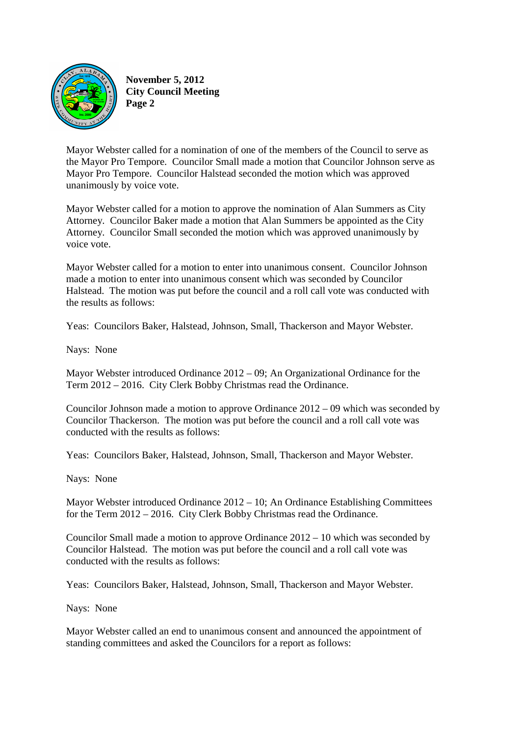

**November 5, 2012 City Council Meeting Page 2** 

Mayor Webster called for a nomination of one of the members of the Council to serve as the Mayor Pro Tempore. Councilor Small made a motion that Councilor Johnson serve as Mayor Pro Tempore. Councilor Halstead seconded the motion which was approved unanimously by voice vote.

Mayor Webster called for a motion to approve the nomination of Alan Summers as City Attorney. Councilor Baker made a motion that Alan Summers be appointed as the City Attorney. Councilor Small seconded the motion which was approved unanimously by voice vote.

Mayor Webster called for a motion to enter into unanimous consent. Councilor Johnson made a motion to enter into unanimous consent which was seconded by Councilor Halstead. The motion was put before the council and a roll call vote was conducted with the results as follows:

Yeas: Councilors Baker, Halstead, Johnson, Small, Thackerson and Mayor Webster.

Nays: None

Mayor Webster introduced Ordinance 2012 – 09; An Organizational Ordinance for the Term 2012 – 2016. City Clerk Bobby Christmas read the Ordinance.

Councilor Johnson made a motion to approve Ordinance 2012 – 09 which was seconded by Councilor Thackerson. The motion was put before the council and a roll call vote was conducted with the results as follows:

Yeas: Councilors Baker, Halstead, Johnson, Small, Thackerson and Mayor Webster.

Nays: None

Mayor Webster introduced Ordinance  $2012 - 10$ ; An Ordinance Establishing Committees for the Term 2012 – 2016. City Clerk Bobby Christmas read the Ordinance.

Councilor Small made a motion to approve Ordinance 2012 – 10 which was seconded by Councilor Halstead. The motion was put before the council and a roll call vote was conducted with the results as follows:

Yeas: Councilors Baker, Halstead, Johnson, Small, Thackerson and Mayor Webster.

Nays: None

Mayor Webster called an end to unanimous consent and announced the appointment of standing committees and asked the Councilors for a report as follows: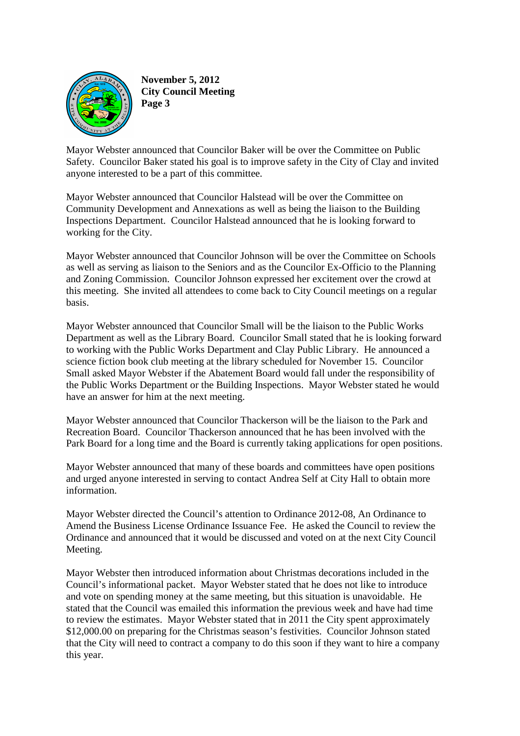

**November 5, 2012 City Council Meeting Page 3** 

Mayor Webster announced that Councilor Baker will be over the Committee on Public Safety. Councilor Baker stated his goal is to improve safety in the City of Clay and invited anyone interested to be a part of this committee.

Mayor Webster announced that Councilor Halstead will be over the Committee on Community Development and Annexations as well as being the liaison to the Building Inspections Department. Councilor Halstead announced that he is looking forward to working for the City.

Mayor Webster announced that Councilor Johnson will be over the Committee on Schools as well as serving as liaison to the Seniors and as the Councilor Ex-Officio to the Planning and Zoning Commission. Councilor Johnson expressed her excitement over the crowd at this meeting. She invited all attendees to come back to City Council meetings on a regular basis.

Mayor Webster announced that Councilor Small will be the liaison to the Public Works Department as well as the Library Board. Councilor Small stated that he is looking forward to working with the Public Works Department and Clay Public Library. He announced a science fiction book club meeting at the library scheduled for November 15. Councilor Small asked Mayor Webster if the Abatement Board would fall under the responsibility of the Public Works Department or the Building Inspections. Mayor Webster stated he would have an answer for him at the next meeting.

Mayor Webster announced that Councilor Thackerson will be the liaison to the Park and Recreation Board. Councilor Thackerson announced that he has been involved with the Park Board for a long time and the Board is currently taking applications for open positions.

Mayor Webster announced that many of these boards and committees have open positions and urged anyone interested in serving to contact Andrea Self at City Hall to obtain more information.

Mayor Webster directed the Council's attention to Ordinance 2012-08, An Ordinance to Amend the Business License Ordinance Issuance Fee. He asked the Council to review the Ordinance and announced that it would be discussed and voted on at the next City Council Meeting.

Mayor Webster then introduced information about Christmas decorations included in the Council's informational packet. Mayor Webster stated that he does not like to introduce and vote on spending money at the same meeting, but this situation is unavoidable. He stated that the Council was emailed this information the previous week and have had time to review the estimates. Mayor Webster stated that in 2011 the City spent approximately \$12,000.00 on preparing for the Christmas season's festivities. Councilor Johnson stated that the City will need to contract a company to do this soon if they want to hire a company this year.